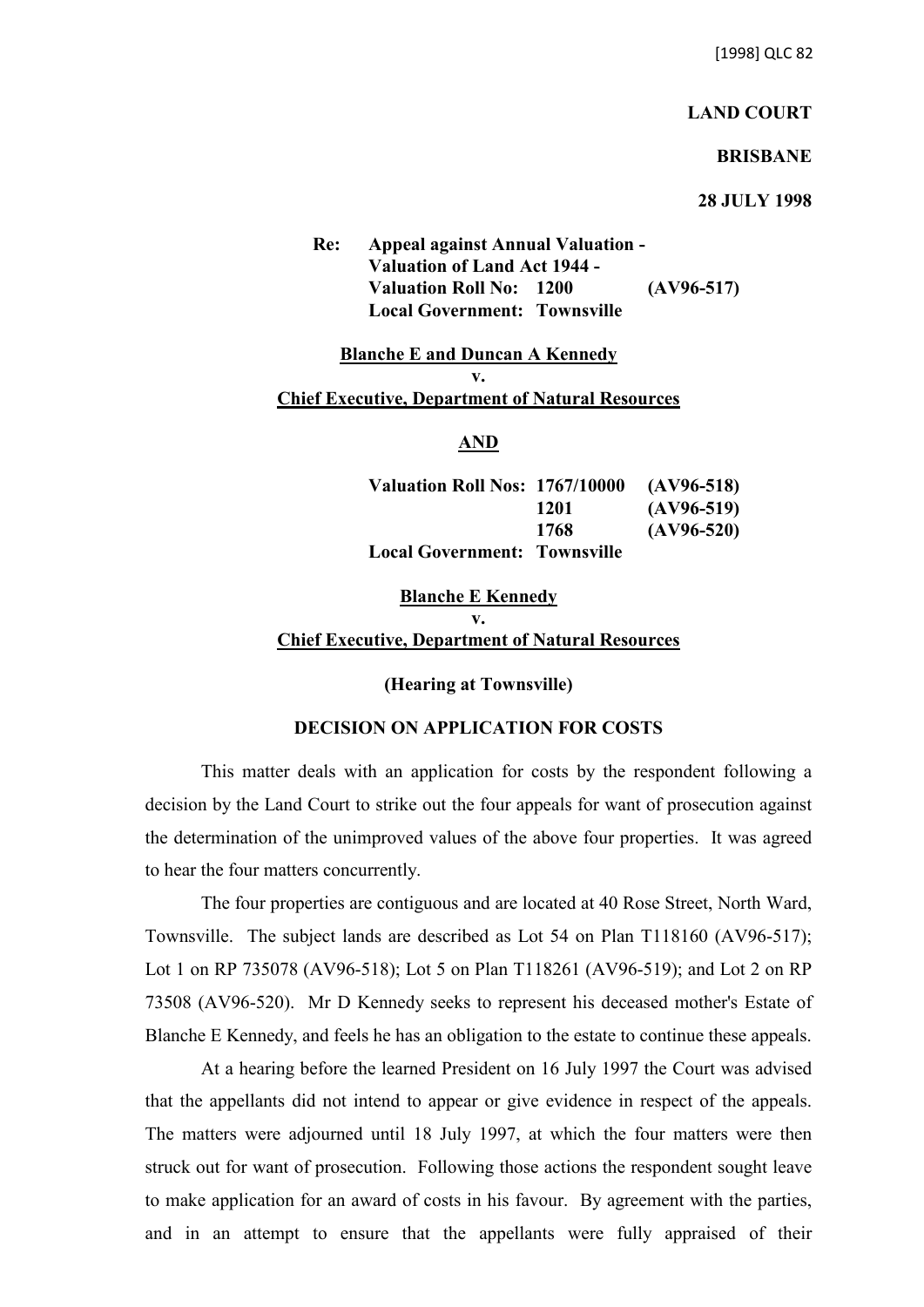[1998] QLC 82

## **LAND COURT**

## **BRISBANE**

## **28 JULY 1998**

**Re: Appeal against Annual Valuation - Valuation of Land Act 1944 - Valuation Roll No: 1200 (AV96-517) Local Government: Townsville**

#### **Blanche E and Duncan A Kennedy v.**

#### **Chief Executive, Department of Natural Resources**

## **AND**

| Valuation Roll Nos: 1767/10000      |      | $(AV96-518)$ |
|-------------------------------------|------|--------------|
|                                     | 1201 | $(AV96-519)$ |
|                                     | 1768 | $(AV96-520)$ |
| <b>Local Government: Townsville</b> |      |              |

# **Blanche E Kennedy v. Chief Executive, Department of Natural Resources**

## **(Hearing at Townsville)**

## **DECISION ON APPLICATION FOR COSTS**

This matter deals with an application for costs by the respondent following a decision by the Land Court to strike out the four appeals for want of prosecution against the determination of the unimproved values of the above four properties. It was agreed to hear the four matters concurrently.

The four properties are contiguous and are located at 40 Rose Street, North Ward, Townsville. The subject lands are described as Lot 54 on Plan T118160 (AV96-517); Lot 1 on RP 735078 (AV96-518); Lot 5 on Plan T118261 (AV96-519); and Lot 2 on RP 73508 (AV96-520). Mr D Kennedy seeks to represent his deceased mother's Estate of Blanche E Kennedy, and feels he has an obligation to the estate to continue these appeals.

At a hearing before the learned President on 16 July 1997 the Court was advised that the appellants did not intend to appear or give evidence in respect of the appeals. The matters were adjourned until 18 July 1997, at which the four matters were then struck out for want of prosecution. Following those actions the respondent sought leave to make application for an award of costs in his favour. By agreement with the parties, and in an attempt to ensure that the appellants were fully appraised of their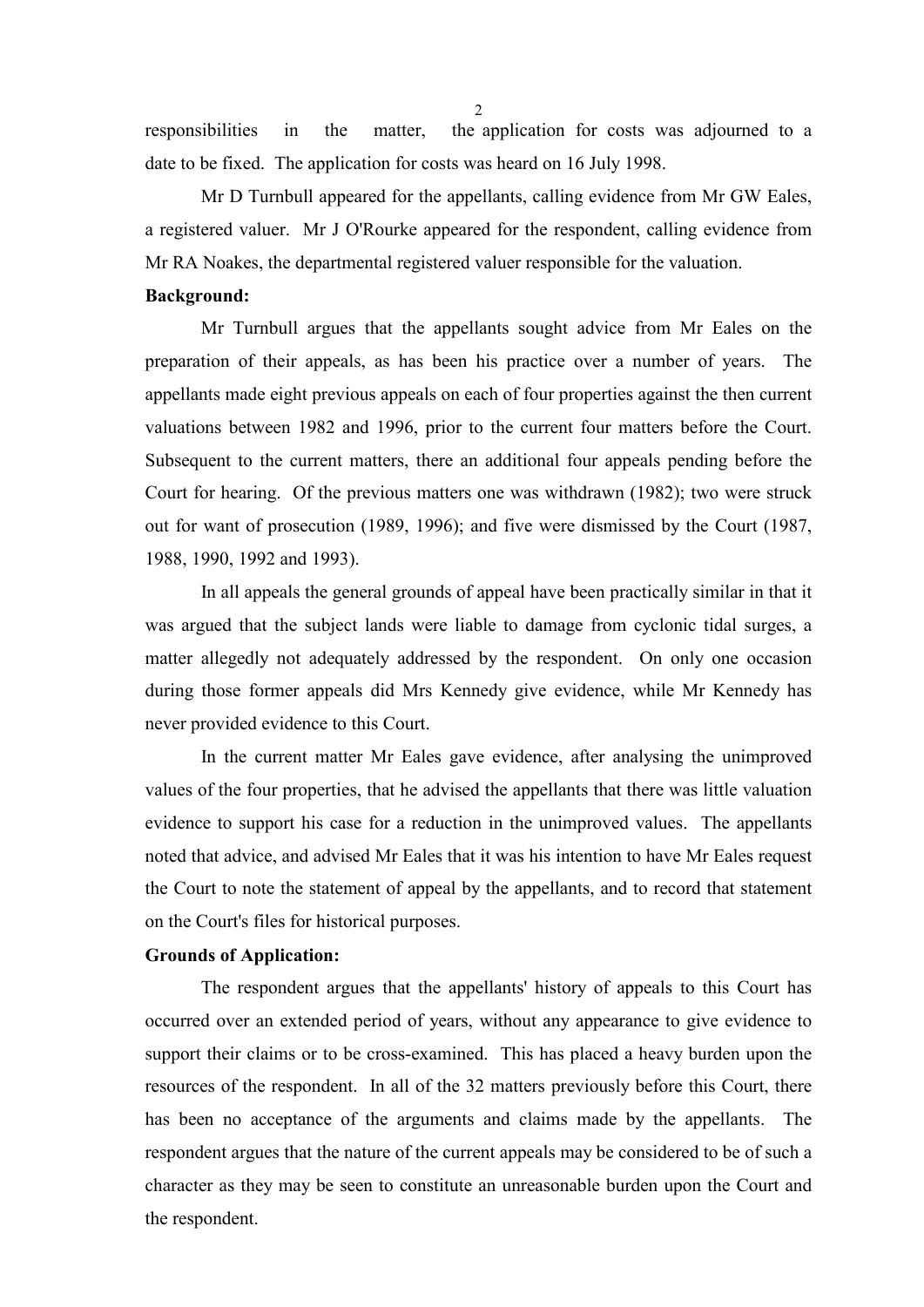responsibilities in the matter, the application for costs was adjourned to a date to be fixed. The application for costs was heard on 16 July 1998.

Mr D Turnbull appeared for the appellants, calling evidence from Mr GW Eales, a registered valuer. Mr J O'Rourke appeared for the respondent, calling evidence from Mr RA Noakes, the departmental registered valuer responsible for the valuation.

#### **Background:**

Mr Turnbull argues that the appellants sought advice from Mr Eales on the preparation of their appeals, as has been his practice over a number of years. The appellants made eight previous appeals on each of four properties against the then current valuations between 1982 and 1996, prior to the current four matters before the Court. Subsequent to the current matters, there an additional four appeals pending before the Court for hearing. Of the previous matters one was withdrawn (1982); two were struck out for want of prosecution (1989, 1996); and five were dismissed by the Court (1987, 1988, 1990, 1992 and 1993).

In all appeals the general grounds of appeal have been practically similar in that it was argued that the subject lands were liable to damage from cyclonic tidal surges, a matter allegedly not adequately addressed by the respondent. On only one occasion during those former appeals did Mrs Kennedy give evidence, while Mr Kennedy has never provided evidence to this Court.

In the current matter Mr Eales gave evidence, after analysing the unimproved values of the four properties, that he advised the appellants that there was little valuation evidence to support his case for a reduction in the unimproved values. The appellants noted that advice, and advised Mr Eales that it was his intention to have Mr Eales request the Court to note the statement of appeal by the appellants, and to record that statement on the Court's files for historical purposes.

## **Grounds of Application:**

The respondent argues that the appellants' history of appeals to this Court has occurred over an extended period of years, without any appearance to give evidence to support their claims or to be cross-examined. This has placed a heavy burden upon the resources of the respondent. In all of the 32 matters previously before this Court, there has been no acceptance of the arguments and claims made by the appellants. The respondent argues that the nature of the current appeals may be considered to be of such a character as they may be seen to constitute an unreasonable burden upon the Court and the respondent.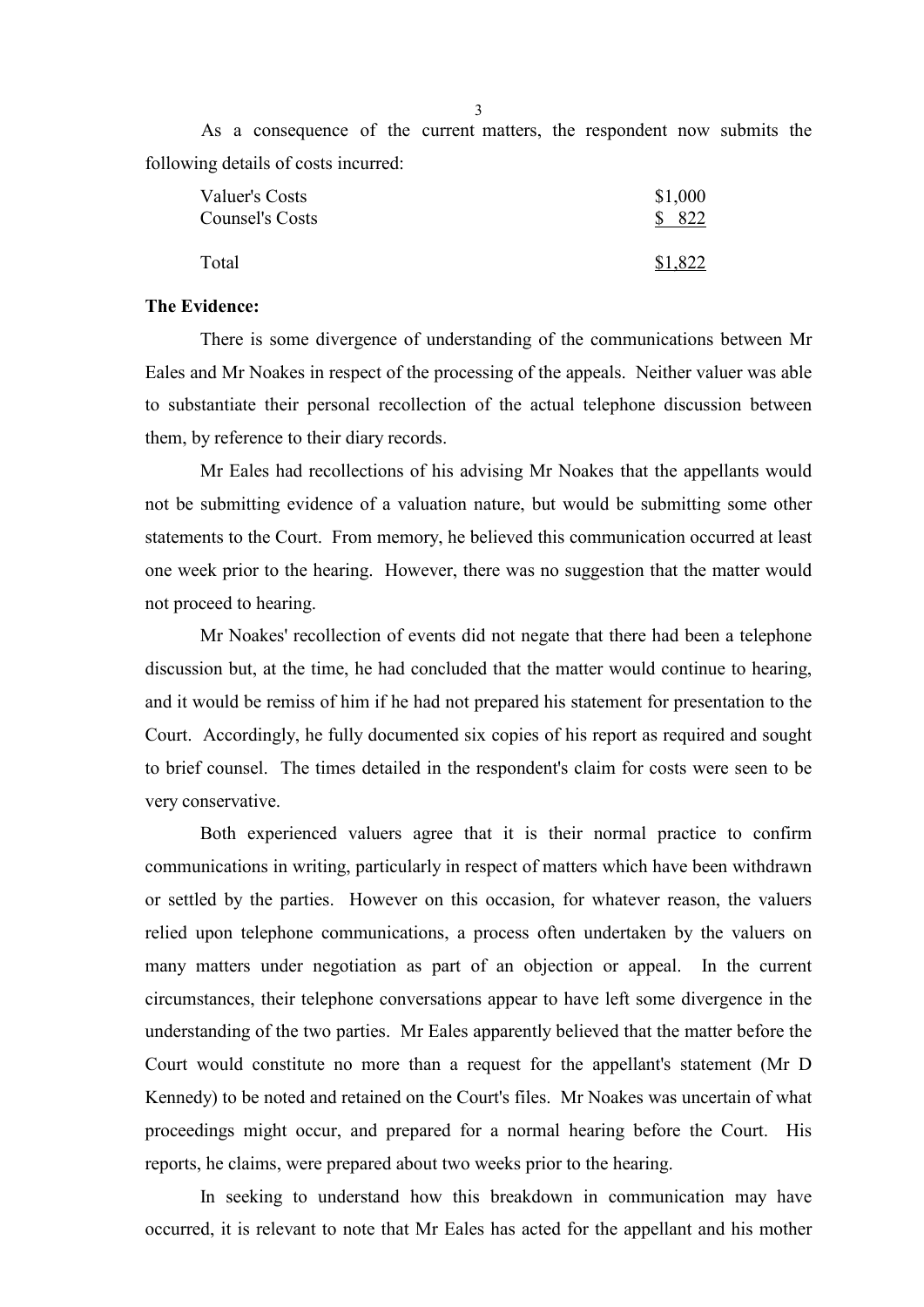As a consequence of the current matters, the respondent now submits the following details of costs incurred:

| Valuer's Costs         | \$1,000 |
|------------------------|---------|
| <b>Counsel's Costs</b> | \$822   |
| Total                  | \$1,822 |

### **The Evidence:**

There is some divergence of understanding of the communications between Mr Eales and Mr Noakes in respect of the processing of the appeals. Neither valuer was able to substantiate their personal recollection of the actual telephone discussion between them, by reference to their diary records.

Mr Eales had recollections of his advising Mr Noakes that the appellants would not be submitting evidence of a valuation nature, but would be submitting some other statements to the Court. From memory, he believed this communication occurred at least one week prior to the hearing. However, there was no suggestion that the matter would not proceed to hearing.

Mr Noakes' recollection of events did not negate that there had been a telephone discussion but, at the time, he had concluded that the matter would continue to hearing, and it would be remiss of him if he had not prepared his statement for presentation to the Court. Accordingly, he fully documented six copies of his report as required and sought to brief counsel. The times detailed in the respondent's claim for costs were seen to be very conservative.

Both experienced valuers agree that it is their normal practice to confirm communications in writing, particularly in respect of matters which have been withdrawn or settled by the parties. However on this occasion, for whatever reason, the valuers relied upon telephone communications, a process often undertaken by the valuers on many matters under negotiation as part of an objection or appeal. In the current circumstances, their telephone conversations appear to have left some divergence in the understanding of the two parties. Mr Eales apparently believed that the matter before the Court would constitute no more than a request for the appellant's statement (Mr D Kennedy) to be noted and retained on the Court's files. Mr Noakes was uncertain of what proceedings might occur, and prepared for a normal hearing before the Court. His reports, he claims, were prepared about two weeks prior to the hearing.

In seeking to understand how this breakdown in communication may have occurred, it is relevant to note that Mr Eales has acted for the appellant and his mother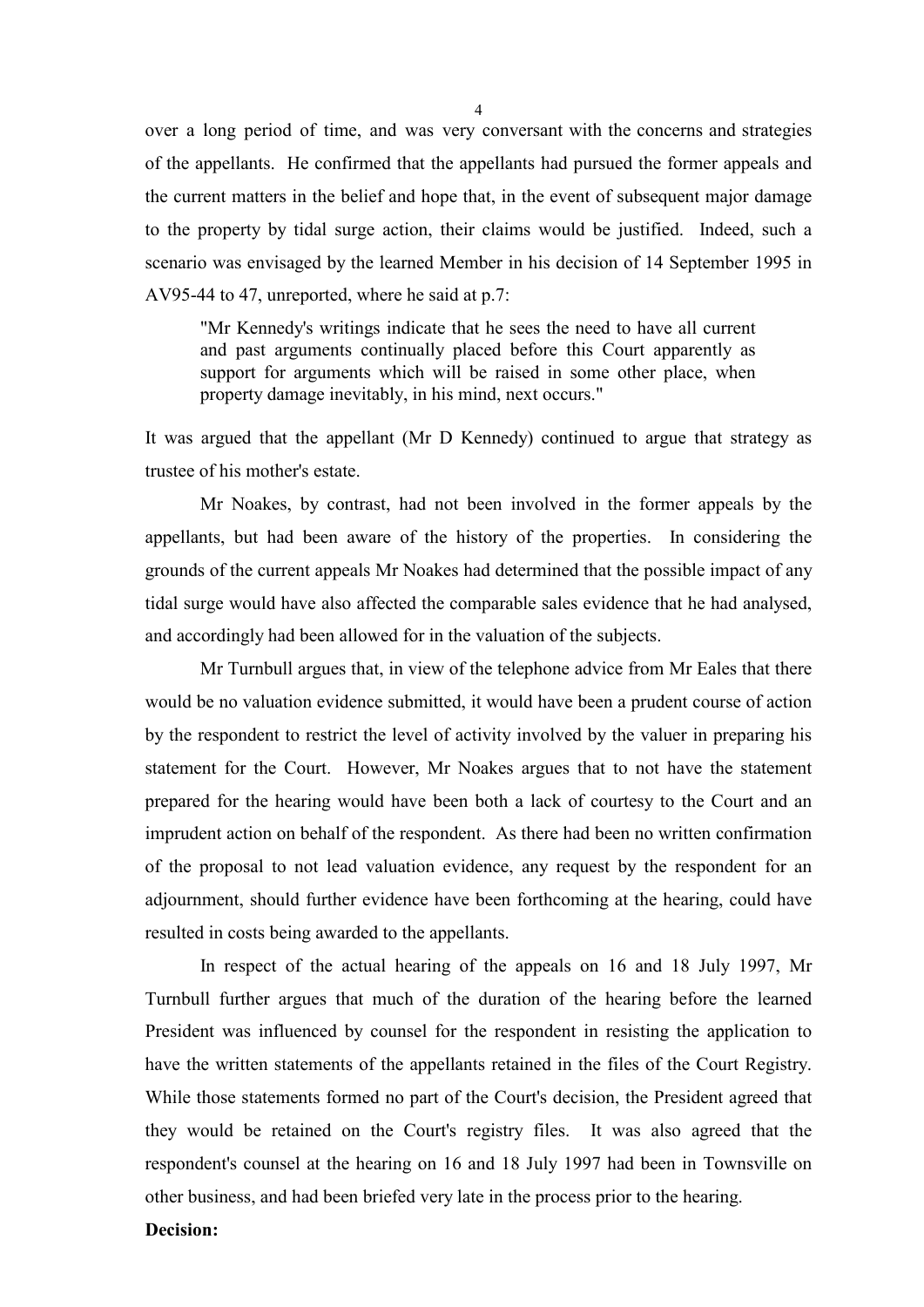over a long period of time, and was very conversant with the concerns and strategies of the appellants. He confirmed that the appellants had pursued the former appeals and the current matters in the belief and hope that, in the event of subsequent major damage to the property by tidal surge action, their claims would be justified. Indeed, such a scenario was envisaged by the learned Member in his decision of 14 September 1995 in AV95-44 to 47, unreported, where he said at p.7:

"Mr Kennedy's writings indicate that he sees the need to have all current and past arguments continually placed before this Court apparently as support for arguments which will be raised in some other place, when property damage inevitably, in his mind, next occurs."

It was argued that the appellant (Mr D Kennedy) continued to argue that strategy as trustee of his mother's estate.

Mr Noakes, by contrast, had not been involved in the former appeals by the appellants, but had been aware of the history of the properties. In considering the grounds of the current appeals Mr Noakes had determined that the possible impact of any tidal surge would have also affected the comparable sales evidence that he had analysed, and accordingly had been allowed for in the valuation of the subjects.

Mr Turnbull argues that, in view of the telephone advice from Mr Eales that there would be no valuation evidence submitted, it would have been a prudent course of action by the respondent to restrict the level of activity involved by the valuer in preparing his statement for the Court. However, Mr Noakes argues that to not have the statement prepared for the hearing would have been both a lack of courtesy to the Court and an imprudent action on behalf of the respondent. As there had been no written confirmation of the proposal to not lead valuation evidence, any request by the respondent for an adjournment, should further evidence have been forthcoming at the hearing, could have resulted in costs being awarded to the appellants.

In respect of the actual hearing of the appeals on 16 and 18 July 1997, Mr Turnbull further argues that much of the duration of the hearing before the learned President was influenced by counsel for the respondent in resisting the application to have the written statements of the appellants retained in the files of the Court Registry. While those statements formed no part of the Court's decision, the President agreed that they would be retained on the Court's registry files. It was also agreed that the respondent's counsel at the hearing on 16 and 18 July 1997 had been in Townsville on other business, and had been briefed very late in the process prior to the hearing.

### **Decision:**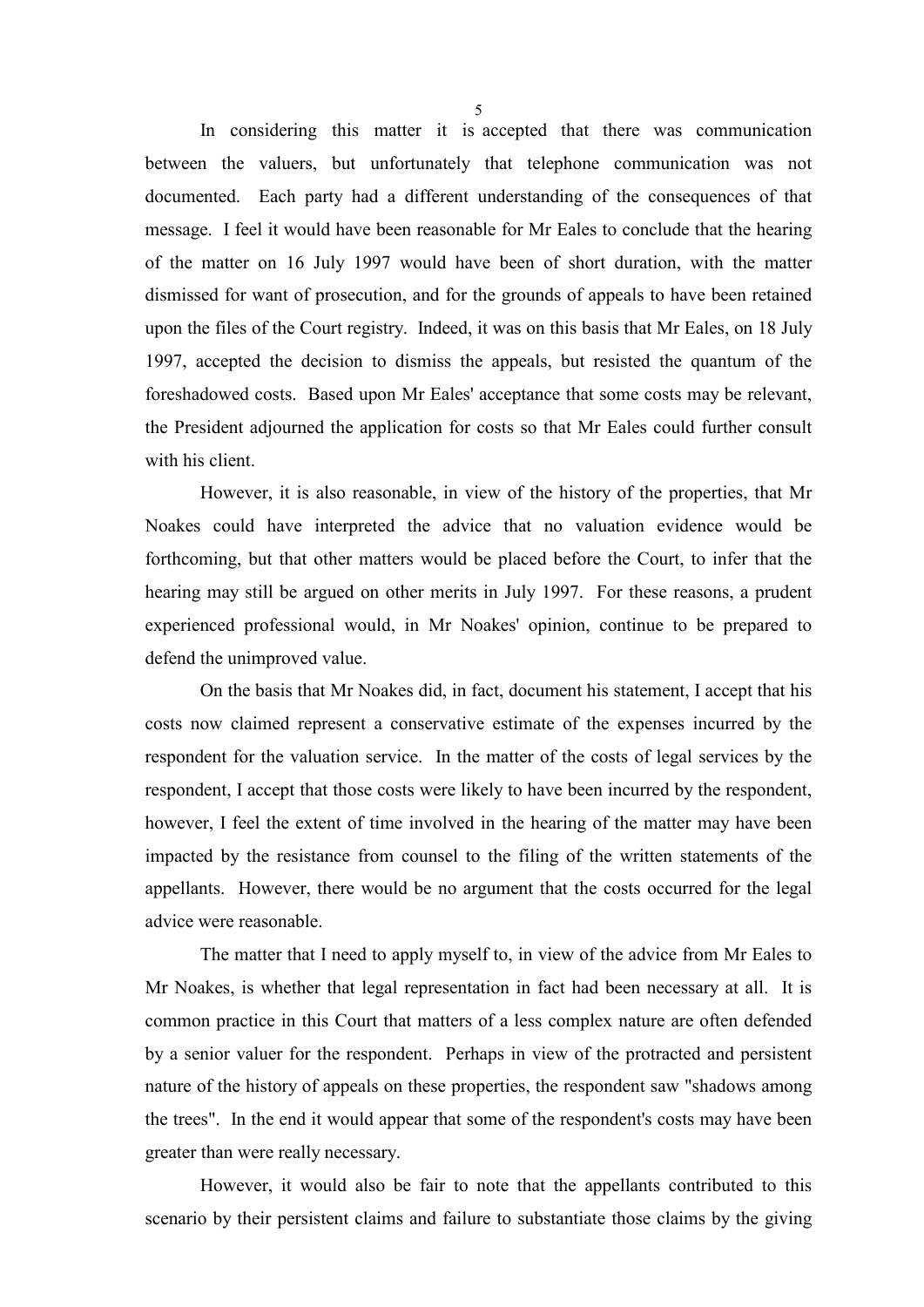In considering this matter it is accepted that there was communication between the valuers, but unfortunately that telephone communication was not documented. Each party had a different understanding of the consequences of that message. I feel it would have been reasonable for Mr Eales to conclude that the hearing of the matter on 16 July 1997 would have been of short duration, with the matter dismissed for want of prosecution, and for the grounds of appeals to have been retained upon the files of the Court registry. Indeed, it was on this basis that Mr Eales, on 18 July 1997, accepted the decision to dismiss the appeals, but resisted the quantum of the foreshadowed costs. Based upon Mr Eales' acceptance that some costs may be relevant, the President adjourned the application for costs so that Mr Eales could further consult with his client.

However, it is also reasonable, in view of the history of the properties, that Mr Noakes could have interpreted the advice that no valuation evidence would be forthcoming, but that other matters would be placed before the Court, to infer that the hearing may still be argued on other merits in July 1997. For these reasons, a prudent experienced professional would, in Mr Noakes' opinion, continue to be prepared to defend the unimproved value.

On the basis that Mr Noakes did, in fact, document his statement, I accept that his costs now claimed represent a conservative estimate of the expenses incurred by the respondent for the valuation service. In the matter of the costs of legal services by the respondent, I accept that those costs were likely to have been incurred by the respondent, however, I feel the extent of time involved in the hearing of the matter may have been impacted by the resistance from counsel to the filing of the written statements of the appellants. However, there would be no argument that the costs occurred for the legal advice were reasonable.

The matter that I need to apply myself to, in view of the advice from Mr Eales to Mr Noakes, is whether that legal representation in fact had been necessary at all. It is common practice in this Court that matters of a less complex nature are often defended by a senior valuer for the respondent. Perhaps in view of the protracted and persistent nature of the history of appeals on these properties, the respondent saw "shadows among the trees". In the end it would appear that some of the respondent's costs may have been greater than were really necessary.

However, it would also be fair to note that the appellants contributed to this scenario by their persistent claims and failure to substantiate those claims by the giving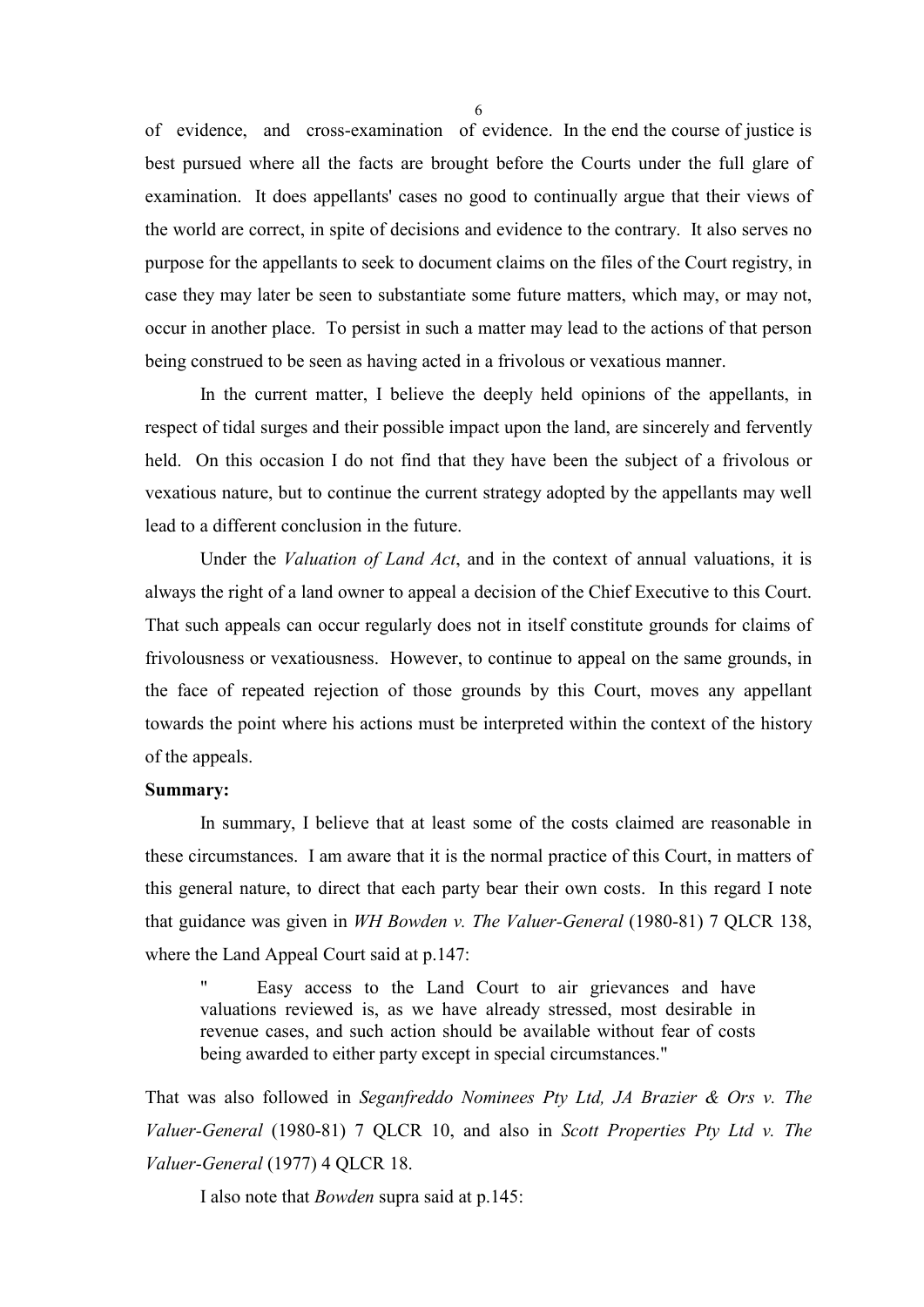of evidence, and cross-examination of evidence. In the end the course of justice is best pursued where all the facts are brought before the Courts under the full glare of examination. It does appellants' cases no good to continually argue that their views of the world are correct, in spite of decisions and evidence to the contrary. It also serves no purpose for the appellants to seek to document claims on the files of the Court registry, in case they may later be seen to substantiate some future matters, which may, or may not, occur in another place. To persist in such a matter may lead to the actions of that person being construed to be seen as having acted in a frivolous or vexatious manner.

In the current matter, I believe the deeply held opinions of the appellants, in respect of tidal surges and their possible impact upon the land, are sincerely and fervently held. On this occasion I do not find that they have been the subject of a frivolous or vexatious nature, but to continue the current strategy adopted by the appellants may well lead to a different conclusion in the future.

Under the *Valuation of Land Act*, and in the context of annual valuations, it is always the right of a land owner to appeal a decision of the Chief Executive to this Court. That such appeals can occur regularly does not in itself constitute grounds for claims of frivolousness or vexatiousness. However, to continue to appeal on the same grounds, in the face of repeated rejection of those grounds by this Court, moves any appellant towards the point where his actions must be interpreted within the context of the history of the appeals.

## **Summary:**

In summary, I believe that at least some of the costs claimed are reasonable in these circumstances. I am aware that it is the normal practice of this Court, in matters of this general nature, to direct that each party bear their own costs. In this regard I note that guidance was given in *WH Bowden v. The Valuer-General* (1980-81) 7 QLCR 138, where the Land Appeal Court said at p.147:

Easy access to the Land Court to air grievances and have valuations reviewed is, as we have already stressed, most desirable in revenue cases, and such action should be available without fear of costs being awarded to either party except in special circumstances."

That was also followed in *Seganfreddo Nominees Pty Ltd, JA Brazier & Ors v. The Valuer-General* (1980-81) 7 QLCR 10, and also in *Scott Properties Pty Ltd v. The Valuer-General* (1977) 4 QLCR 18.

I also note that *Bowden* supra said at p.145: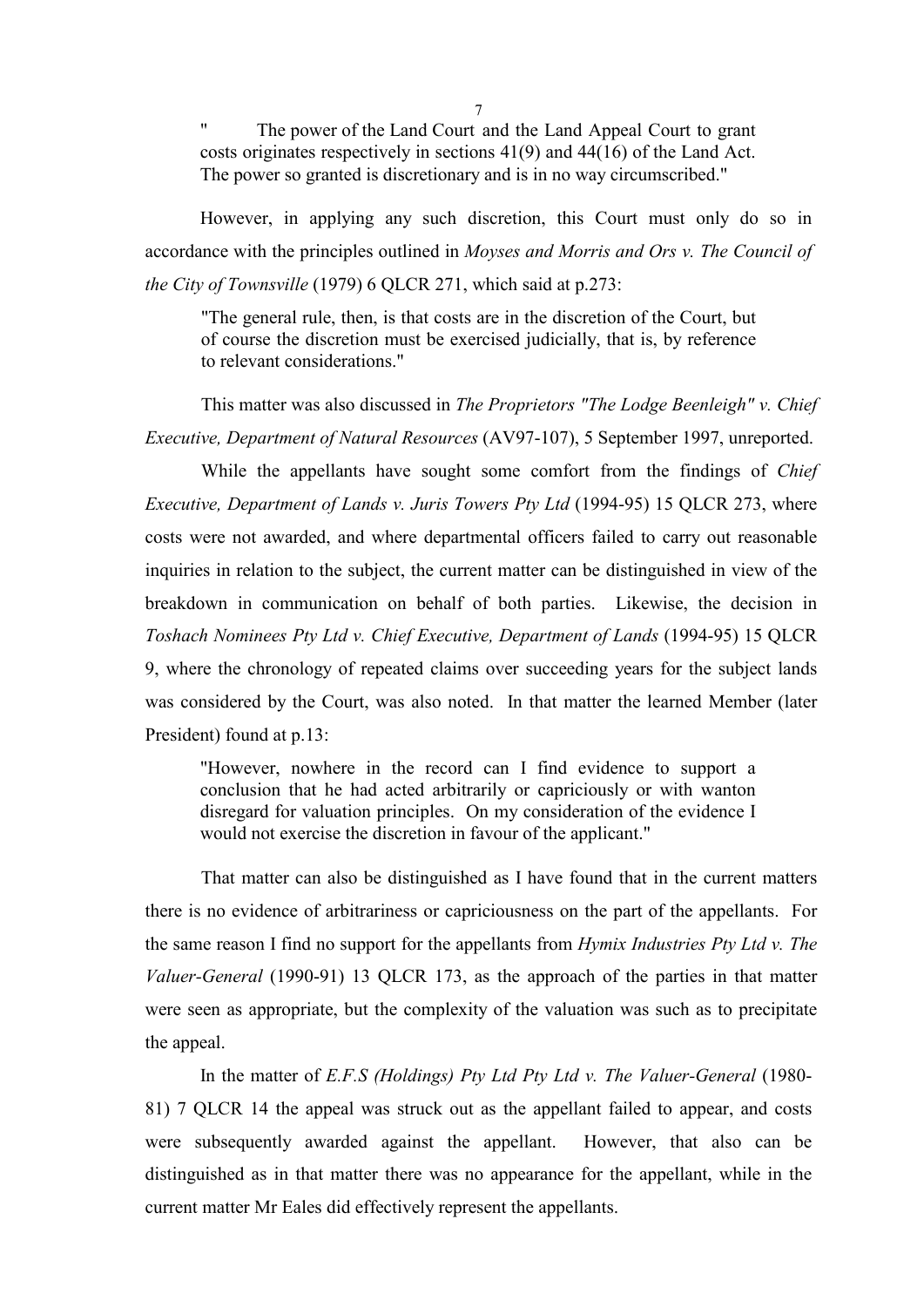" The power of the Land Court and the Land Appeal Court to grant costs originates respectively in sections 41(9) and 44(16) of the Land Act. The power so granted is discretionary and is in no way circumscribed."

However, in applying any such discretion, this Court must only do so in accordance with the principles outlined in *Moyses and Morris and Ors v. The Council of the City of Townsville* (1979) 6 QLCR 271, which said at p.273:

"The general rule, then, is that costs are in the discretion of the Court, but of course the discretion must be exercised judicially, that is, by reference to relevant considerations."

This matter was also discussed in *The Proprietors "The Lodge Beenleigh" v. Chief Executive, Department of Natural Resources* (AV97-107), 5 September 1997, unreported.

While the appellants have sought some comfort from the findings of *Chief Executive, Department of Lands v. Juris Towers Pty Ltd* (1994-95) 15 QLCR 273, where costs were not awarded, and where departmental officers failed to carry out reasonable inquiries in relation to the subject, the current matter can be distinguished in view of the breakdown in communication on behalf of both parties. Likewise, the decision in *Toshach Nominees Pty Ltd v. Chief Executive, Department of Lands* (1994-95) 15 QLCR 9, where the chronology of repeated claims over succeeding years for the subject lands was considered by the Court, was also noted. In that matter the learned Member (later President) found at p.13:

"However, nowhere in the record can I find evidence to support a conclusion that he had acted arbitrarily or capriciously or with wanton disregard for valuation principles. On my consideration of the evidence I would not exercise the discretion in favour of the applicant."

That matter can also be distinguished as I have found that in the current matters there is no evidence of arbitrariness or capriciousness on the part of the appellants. For the same reason I find no support for the appellants from *Hymix Industries Pty Ltd v. The Valuer-General* (1990-91) 13 QLCR 173, as the approach of the parties in that matter were seen as appropriate, but the complexity of the valuation was such as to precipitate the appeal.

In the matter of *E.F.S (Holdings) Pty Ltd Pty Ltd v. The Valuer-General* (1980- 81) 7 QLCR 14 the appeal was struck out as the appellant failed to appear, and costs were subsequently awarded against the appellant. However, that also can be distinguished as in that matter there was no appearance for the appellant, while in the current matter Mr Eales did effectively represent the appellants.